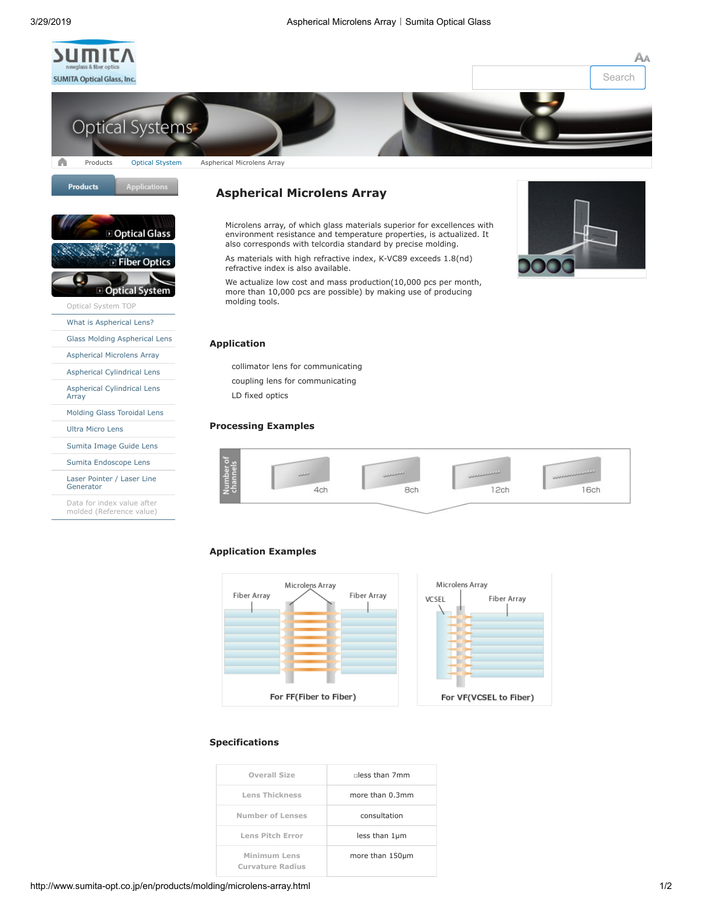

[Optical System TOP](http://www.sumita-opt.co.jp/en/products/molding/index.html) [What is Aspherical Lens?](http://www.sumita-opt.co.jp/en/products/molding/about-aspheric-lens.html) [Glass Molding Aspherical Lens](http://www.sumita-opt.co.jp/en/products/molding/aspheric-lens.html) [Aspherical Microlens Array](http://www.sumita-opt.co.jp/en/products/molding/microlens-array.html) [Aspherical Cylindrical Lens](http://www.sumita-opt.co.jp/en/products/molding/cylindrical-lens.html) [Aspherical Cylindrical Lens](http://www.sumita-opt.co.jp/en/products/molding/cylindrical-array.html)

**Optical** 

[Molding Glass Toroidal Lens](http://www.sumita-opt.co.jp/en/products/molding/toroidal-lens.html)

[Sumita Image Guide Lens](http://www.sumita-opt.co.jp/en/products/molding/imgguide-lens.html) [Sumita Endoscope Lens](http://www.sumita-opt.co.jp/en/products/molding/ccd-lens.html) [Laser Pointer / Laser Line](http://www.sumita-opt.co.jp/en/products/molding/laser-pointer.html)

Data for index value after [molded \(Reference value\)](http://www.sumita-opt.co.jp/en/download/index.html#aftermold)

[Ultra Micro Lens](http://www.sumita-opt.co.jp/en/products/molding/ultrasmall-lens.html)

Generator

Array





**Optical Glass** 

**Fiber Optics** 

**System** 

# **Aspherical Microlens Array**

Microlens array, of which glass materials superior for excellences with environment resistance and temperature properties, is actualized. It also corresponds with telcordia standard by precise molding.

As materials with high refractive index, K-VC89 exceeds 1.8(nd) refractive index is also available.

We actualize low cost and mass production(10,000 pcs per month, more than 10,000 pcs are possible) by making use of producing molding tools.



#### **Application**

collimator lens for communicating

coupling lens for communicating

LD fixed optics

#### **Processing Examples**



## **Application Examples**



#### **Specifications**

| $n$ ess than $7mm$ | Overall Size                            |
|--------------------|-----------------------------------------|
| more than 0.3mm    | <b>Lens Thickness</b>                   |
| consultation       | Number of Lenses                        |
| less than 1µm      | Lens Pitch Error                        |
| more than 150um    | Minimum Lens<br><b>Curvature Radius</b> |